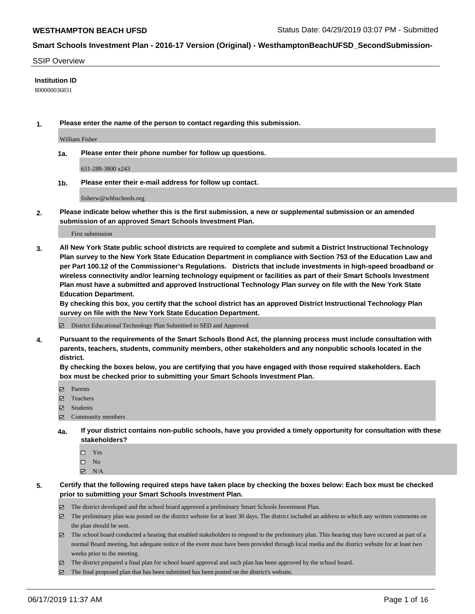#### SSIP Overview

#### **Institution ID**

800000036831

**1. Please enter the name of the person to contact regarding this submission.**

William Fisher

**1a. Please enter their phone number for follow up questions.**

631-288-3800 x243

**1b. Please enter their e-mail address for follow up contact.**

fisherw@whbschools.org

**2. Please indicate below whether this is the first submission, a new or supplemental submission or an amended submission of an approved Smart Schools Investment Plan.**

First submission

**3. All New York State public school districts are required to complete and submit a District Instructional Technology Plan survey to the New York State Education Department in compliance with Section 753 of the Education Law and per Part 100.12 of the Commissioner's Regulations. Districts that include investments in high-speed broadband or wireless connectivity and/or learning technology equipment or facilities as part of their Smart Schools Investment Plan must have a submitted and approved Instructional Technology Plan survey on file with the New York State Education Department.** 

**By checking this box, you certify that the school district has an approved District Instructional Technology Plan survey on file with the New York State Education Department.**

District Educational Technology Plan Submitted to SED and Approved

**4. Pursuant to the requirements of the Smart Schools Bond Act, the planning process must include consultation with parents, teachers, students, community members, other stakeholders and any nonpublic schools located in the district.** 

**By checking the boxes below, you are certifying that you have engaged with those required stakeholders. Each box must be checked prior to submitting your Smart Schools Investment Plan.**

- Parents
- Teachers
- Students
- $\Xi$  Community members
- **4a. If your district contains non-public schools, have you provided a timely opportunity for consultation with these stakeholders?**
	- □ Yes
	- $\square$  No
	- $N/A$
- **5. Certify that the following required steps have taken place by checking the boxes below: Each box must be checked prior to submitting your Smart Schools Investment Plan.**
	- The district developed and the school board approved a preliminary Smart Schools Investment Plan.
	- $\boxtimes$  The preliminary plan was posted on the district website for at least 30 days. The district included an address to which any written comments on the plan should be sent.
	- $\boxtimes$  The school board conducted a hearing that enabled stakeholders to respond to the preliminary plan. This hearing may have occured as part of a normal Board meeting, but adequate notice of the event must have been provided through local media and the district website for at least two weeks prior to the meeting.
	- The district prepared a final plan for school board approval and such plan has been approved by the school board.
	- $\boxtimes$  The final proposed plan that has been submitted has been posted on the district's website.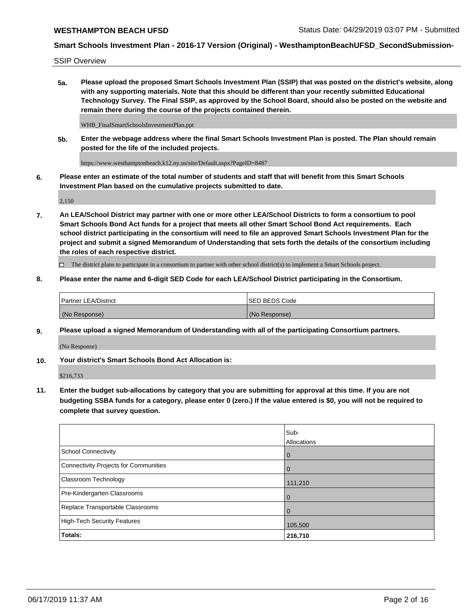SSIP Overview

**5a. Please upload the proposed Smart Schools Investment Plan (SSIP) that was posted on the district's website, along with any supporting materials. Note that this should be different than your recently submitted Educational Technology Survey. The Final SSIP, as approved by the School Board, should also be posted on the website and remain there during the course of the projects contained therein.**

WHB\_FinalSmartSchoolsInvestmentPlan.ppt

**5b. Enter the webpage address where the final Smart Schools Investment Plan is posted. The Plan should remain posted for the life of the included projects.**

https://www.westhamptonbeach.k12.ny.us/site/Default.aspx?PageID=8487

**6. Please enter an estimate of the total number of students and staff that will benefit from this Smart Schools Investment Plan based on the cumulative projects submitted to date.**

2,150

**7. An LEA/School District may partner with one or more other LEA/School Districts to form a consortium to pool Smart Schools Bond Act funds for a project that meets all other Smart School Bond Act requirements. Each school district participating in the consortium will need to file an approved Smart Schools Investment Plan for the project and submit a signed Memorandum of Understanding that sets forth the details of the consortium including the roles of each respective district.**

 $\Box$  The district plans to participate in a consortium to partner with other school district(s) to implement a Smart Schools project.

### **8. Please enter the name and 6-digit SED Code for each LEA/School District participating in the Consortium.**

| <sup>1</sup> Partner LEA/District | <b>ISED BEDS Code</b> |
|-----------------------------------|-----------------------|
| (No Response)                     | (No Response)         |

### **9. Please upload a signed Memorandum of Understanding with all of the participating Consortium partners.**

(No Response)

**10. Your district's Smart Schools Bond Act Allocation is:**

\$216,733

**11. Enter the budget sub-allocations by category that you are submitting for approval at this time. If you are not budgeting SSBA funds for a category, please enter 0 (zero.) If the value entered is \$0, you will not be required to complete that survey question.**

|                                       | Sub-<br>Allocations |
|---------------------------------------|---------------------|
| School Connectivity                   | l 0                 |
| Connectivity Projects for Communities | $\overline{0}$      |
| <b>Classroom Technology</b>           | 111,210             |
| Pre-Kindergarten Classrooms           | $\overline{0}$      |
| Replace Transportable Classrooms      | $\Omega$            |
| High-Tech Security Features           | 105,500             |
| Totals:                               | 216,710             |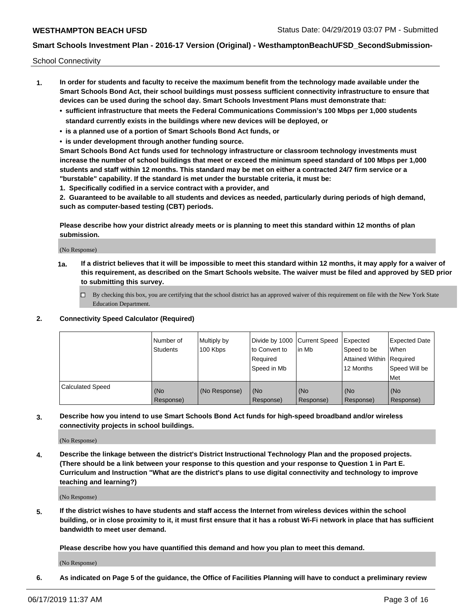School Connectivity

- **1. In order for students and faculty to receive the maximum benefit from the technology made available under the Smart Schools Bond Act, their school buildings must possess sufficient connectivity infrastructure to ensure that devices can be used during the school day. Smart Schools Investment Plans must demonstrate that:**
	- **• sufficient infrastructure that meets the Federal Communications Commission's 100 Mbps per 1,000 students standard currently exists in the buildings where new devices will be deployed, or**
	- **• is a planned use of a portion of Smart Schools Bond Act funds, or**
	- **• is under development through another funding source.**

**Smart Schools Bond Act funds used for technology infrastructure or classroom technology investments must increase the number of school buildings that meet or exceed the minimum speed standard of 100 Mbps per 1,000 students and staff within 12 months. This standard may be met on either a contracted 24/7 firm service or a "burstable" capability. If the standard is met under the burstable criteria, it must be:**

**1. Specifically codified in a service contract with a provider, and**

**2. Guaranteed to be available to all students and devices as needed, particularly during periods of high demand, such as computer-based testing (CBT) periods.**

**Please describe how your district already meets or is planning to meet this standard within 12 months of plan submission.**

(No Response)

**1a. If a district believes that it will be impossible to meet this standard within 12 months, it may apply for a waiver of this requirement, as described on the Smart Schools website. The waiver must be filed and approved by SED prior to submitting this survey.**

 $\Box$  By checking this box, you are certifying that the school district has an approved waiver of this requirement on file with the New York State Education Department.

### **2. Connectivity Speed Calculator (Required)**

|                         | Number of<br>Students | Multiply by<br>100 Kbps | Divide by 1000 Current Speed<br>to Convert to<br>Required<br>Speed in Mb | l in Mb          | Expected<br>Speed to be<br>Attained Within   Required<br>12 Months | <b>Expected Date</b><br>When<br>Speed Will be<br><b>Met</b> |
|-------------------------|-----------------------|-------------------------|--------------------------------------------------------------------------|------------------|--------------------------------------------------------------------|-------------------------------------------------------------|
| <b>Calculated Speed</b> | (No<br>Response)      | (No Response)           | (No<br>Response)                                                         | (No<br>Response) | (No<br>Response)                                                   | (No<br>Response)                                            |

**3. Describe how you intend to use Smart Schools Bond Act funds for high-speed broadband and/or wireless connectivity projects in school buildings.**

(No Response)

**4. Describe the linkage between the district's District Instructional Technology Plan and the proposed projects. (There should be a link between your response to this question and your response to Question 1 in Part E. Curriculum and Instruction "What are the district's plans to use digital connectivity and technology to improve teaching and learning?)**

(No Response)

**5. If the district wishes to have students and staff access the Internet from wireless devices within the school building, or in close proximity to it, it must first ensure that it has a robust Wi-Fi network in place that has sufficient bandwidth to meet user demand.**

**Please describe how you have quantified this demand and how you plan to meet this demand.**

(No Response)

**6. As indicated on Page 5 of the guidance, the Office of Facilities Planning will have to conduct a preliminary review**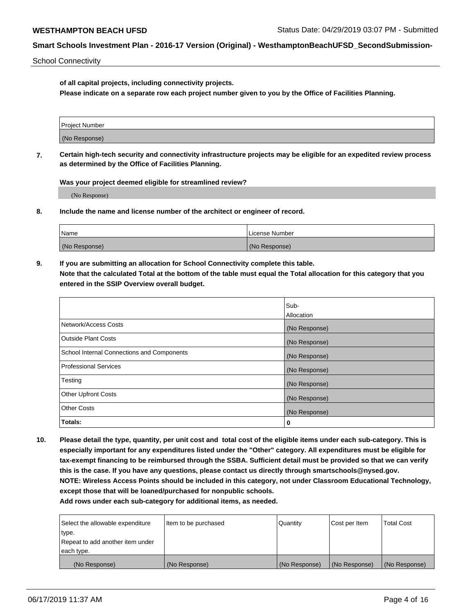School Connectivity

**of all capital projects, including connectivity projects.**

**Please indicate on a separate row each project number given to you by the Office of Facilities Planning.**

| Project Number |  |  |
|----------------|--|--|
|                |  |  |
| (No Response)  |  |  |
|                |  |  |

**7. Certain high-tech security and connectivity infrastructure projects may be eligible for an expedited review process as determined by the Office of Facilities Planning.**

**Was your project deemed eligible for streamlined review?**

(No Response)

**8. Include the name and license number of the architect or engineer of record.**

| Name          | License Number |
|---------------|----------------|
| (No Response) | (No Response)  |

**9. If you are submitting an allocation for School Connectivity complete this table. Note that the calculated Total at the bottom of the table must equal the Total allocation for this category that you entered in the SSIP Overview overall budget.** 

|                                            | Sub-          |
|--------------------------------------------|---------------|
|                                            | Allocation    |
| Network/Access Costs                       | (No Response) |
| Outside Plant Costs                        | (No Response) |
| School Internal Connections and Components | (No Response) |
| Professional Services                      | (No Response) |
| Testing                                    | (No Response) |
| <b>Other Upfront Costs</b>                 | (No Response) |
| <b>Other Costs</b>                         | (No Response) |
| Totals:                                    | 0             |

**10. Please detail the type, quantity, per unit cost and total cost of the eligible items under each sub-category. This is especially important for any expenditures listed under the "Other" category. All expenditures must be eligible for tax-exempt financing to be reimbursed through the SSBA. Sufficient detail must be provided so that we can verify this is the case. If you have any questions, please contact us directly through smartschools@nysed.gov. NOTE: Wireless Access Points should be included in this category, not under Classroom Educational Technology, except those that will be loaned/purchased for nonpublic schools.**

| Select the allowable expenditure | Item to be purchased | Quantity      | Cost per Item | <b>Total Cost</b> |
|----------------------------------|----------------------|---------------|---------------|-------------------|
| type.                            |                      |               |               |                   |
| Repeat to add another item under |                      |               |               |                   |
| each type.                       |                      |               |               |                   |
| (No Response)                    | (No Response)        | (No Response) | (No Response) | (No Response)     |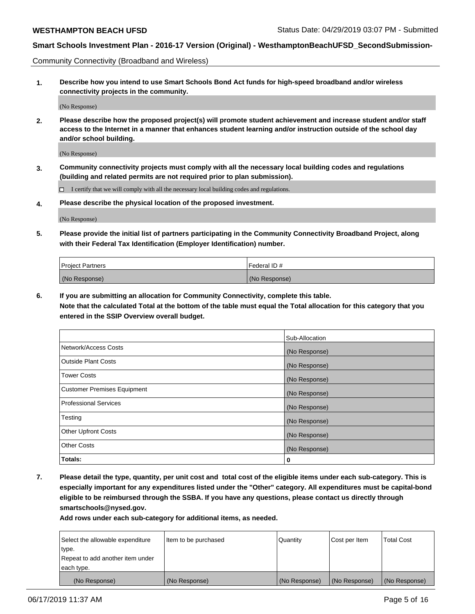Community Connectivity (Broadband and Wireless)

**1. Describe how you intend to use Smart Schools Bond Act funds for high-speed broadband and/or wireless connectivity projects in the community.**

(No Response)

**2. Please describe how the proposed project(s) will promote student achievement and increase student and/or staff access to the Internet in a manner that enhances student learning and/or instruction outside of the school day and/or school building.**

(No Response)

**3. Community connectivity projects must comply with all the necessary local building codes and regulations (building and related permits are not required prior to plan submission).**

 $\Box$  I certify that we will comply with all the necessary local building codes and regulations.

**4. Please describe the physical location of the proposed investment.**

(No Response)

**5. Please provide the initial list of partners participating in the Community Connectivity Broadband Project, along with their Federal Tax Identification (Employer Identification) number.**

| <b>Project Partners</b> | l Federal ID # |
|-------------------------|----------------|
| (No Response)           | (No Response)  |

**6. If you are submitting an allocation for Community Connectivity, complete this table.**

**Note that the calculated Total at the bottom of the table must equal the Total allocation for this category that you entered in the SSIP Overview overall budget.**

|                                    | Sub-Allocation |
|------------------------------------|----------------|
| Network/Access Costs               | (No Response)  |
| <b>Outside Plant Costs</b>         | (No Response)  |
| <b>Tower Costs</b>                 | (No Response)  |
| <b>Customer Premises Equipment</b> | (No Response)  |
| <b>Professional Services</b>       | (No Response)  |
| Testing                            | (No Response)  |
| <b>Other Upfront Costs</b>         | (No Response)  |
| <b>Other Costs</b>                 | (No Response)  |
| Totals:                            | 0              |

**7. Please detail the type, quantity, per unit cost and total cost of the eligible items under each sub-category. This is especially important for any expenditures listed under the "Other" category. All expenditures must be capital-bond eligible to be reimbursed through the SSBA. If you have any questions, please contact us directly through smartschools@nysed.gov.**

| Select the allowable expenditure | Item to be purchased | Quantity      | Cost per Item | <b>Total Cost</b> |
|----------------------------------|----------------------|---------------|---------------|-------------------|
| type.                            |                      |               |               |                   |
| Repeat to add another item under |                      |               |               |                   |
| each type.                       |                      |               |               |                   |
| (No Response)                    | (No Response)        | (No Response) | (No Response) | (No Response)     |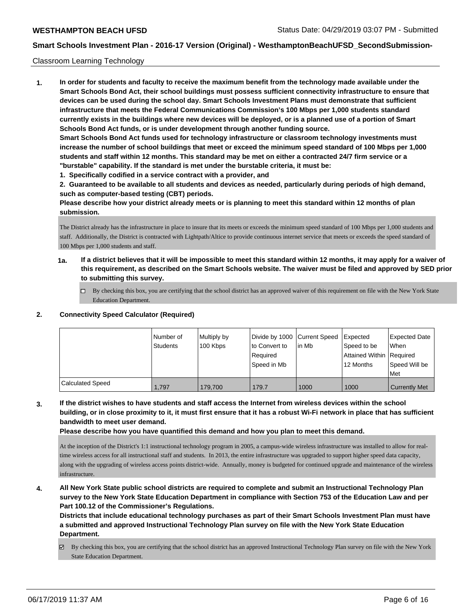#### Classroom Learning Technology

**1. In order for students and faculty to receive the maximum benefit from the technology made available under the Smart Schools Bond Act, their school buildings must possess sufficient connectivity infrastructure to ensure that devices can be used during the school day. Smart Schools Investment Plans must demonstrate that sufficient infrastructure that meets the Federal Communications Commission's 100 Mbps per 1,000 students standard currently exists in the buildings where new devices will be deployed, or is a planned use of a portion of Smart Schools Bond Act funds, or is under development through another funding source. Smart Schools Bond Act funds used for technology infrastructure or classroom technology investments must increase the number of school buildings that meet or exceed the minimum speed standard of 100 Mbps per 1,000 students and staff within 12 months. This standard may be met on either a contracted 24/7 firm service or a "burstable" capability. If the standard is met under the burstable criteria, it must be:**

**1. Specifically codified in a service contract with a provider, and**

**2. Guaranteed to be available to all students and devices as needed, particularly during periods of high demand, such as computer-based testing (CBT) periods.**

**Please describe how your district already meets or is planning to meet this standard within 12 months of plan submission.**

The District already has the infrastructure in place to insure that its meets or exceeds the minimum speed standard of 100 Mbps per 1,000 students and staff. Additionally, the District is contracted with Lightpath/Altice to provide continuous internet service that meets or exceeds the speed standard of 100 Mbps per 1,000 students and staff.

- **1a. If a district believes that it will be impossible to meet this standard within 12 months, it may apply for a waiver of this requirement, as described on the Smart Schools website. The waiver must be filed and approved by SED prior to submitting this survey.**
	- $\Box$  By checking this box, you are certifying that the school district has an approved waiver of this requirement on file with the New York State Education Department.

#### **2. Connectivity Speed Calculator (Required)**

|                  | l Number of<br><b>Students</b> | Multiply by<br>100 Kbps | Divide by 1000 Current Speed<br>to Convert to<br>Required<br>Speed in Mb | lin Mb | Expected<br>Speed to be<br>Attained Within   Required<br>12 Months | <b>Expected Date</b><br><b>When</b><br>Speed Will be<br>Met |
|------------------|--------------------------------|-------------------------|--------------------------------------------------------------------------|--------|--------------------------------------------------------------------|-------------------------------------------------------------|
| Calculated Speed | 1.797                          | 179.700                 | 179.7                                                                    | 1000   | 1000                                                               | <b>Currently Met</b>                                        |

**3. If the district wishes to have students and staff access the Internet from wireless devices within the school building, or in close proximity to it, it must first ensure that it has a robust Wi-Fi network in place that has sufficient bandwidth to meet user demand.**

**Please describe how you have quantified this demand and how you plan to meet this demand.**

At the inception of the District's 1:1 instructional technology program in 2005, a campus-wide wireless infrastructure was installed to allow for realtime wireless access for all instructional staff and students. In 2013, the entire infrastructure was upgraded to support higher speed data capacity, along with the upgrading of wireless access points district-wide. Annually, money is budgeted for continued upgrade and maintenance of the wireless infrastructure.

**4. All New York State public school districts are required to complete and submit an Instructional Technology Plan survey to the New York State Education Department in compliance with Section 753 of the Education Law and per Part 100.12 of the Commissioner's Regulations.**

**Districts that include educational technology purchases as part of their Smart Schools Investment Plan must have a submitted and approved Instructional Technology Plan survey on file with the New York State Education Department.**

By checking this box, you are certifying that the school district has an approved Instructional Technology Plan survey on file with the New York State Education Department.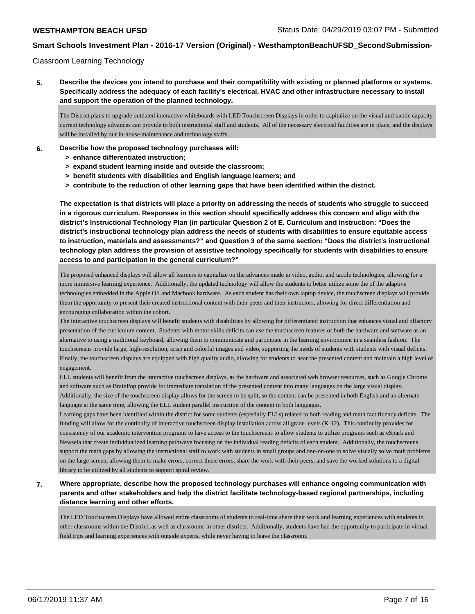#### Classroom Learning Technology

**5. Describe the devices you intend to purchase and their compatibility with existing or planned platforms or systems. Specifically address the adequacy of each facility's electrical, HVAC and other infrastructure necessary to install and support the operation of the planned technology.**

The District plans to upgrade outdated interactive whiteboards with LED Touchscreen Displays in order to capitalize on the visual and tactile capacity current technology advances can provide to both instructional staff and students. All of the necessary electrical facilities are in place, and the displays will be installed by our in-house maintenance and technology staffs.

- **6. Describe how the proposed technology purchases will:**
	- **> enhance differentiated instruction;**
	- **> expand student learning inside and outside the classroom;**
	- **> benefit students with disabilities and English language learners; and**
	- **> contribute to the reduction of other learning gaps that have been identified within the district.**

**The expectation is that districts will place a priority on addressing the needs of students who struggle to succeed in a rigorous curriculum. Responses in this section should specifically address this concern and align with the district's Instructional Technology Plan (in particular Question 2 of E. Curriculum and Instruction: "Does the district's instructional technology plan address the needs of students with disabilities to ensure equitable access to instruction, materials and assessments?" and Question 3 of the same section: "Does the district's instructional technology plan address the provision of assistive technology specifically for students with disabilities to ensure access to and participation in the general curriculum?"**

The proposed enhanced displays will allow all learners to capitalize on the advances made in video, audio, and tactile technologies, allowing for a more immersive learning experience. Additionally, the updated technology will allow the students to better utilize some the of the adaptive technologies embedded in the Apple OS and Macbook hardware. As each student has their own laptop device, the touchscreen displays will provide them the opportunity to present their created instructional content with their peers and their instructors, allowing for direct differentiation and encouraging collaboration within the cohort.

The interactive touchscreen displays will benefit students with disabilities by allowing for differentiated instruction that enhances visual and olfactory presentation of the curriculum content. Students with motor skills deficits can use the touchscreen features of both the hardware and software as an alternative to using a traditional keyboard, allowing them to communicate and participate in the learning environment in a seamless fashion. The touchscreens provide large, high-resolution, crisp and colorful images and video, supporting the needs of students with students with visual deficits. Finally, the touchscreen displays are equipped with high quality audio, allowing for students to hear the presented content and maintain a high level of engagement.

ELL students will benefit from the interactive touchscreen displays, as the hardware and associated web browser resources, such as Google Chrome and software such as BrainPop provide for immediate translation of the presented content into many languages on the large visual display. Additionally, the size of the touchscreen display allows for the screen to be split, so the content can be presented in both English and an alternate language at the same time, allowing the ELL student parallel instruction of the content in both languages.

Learning gaps have been identified within the district for some students (especially ELLs) related to both reading and math fact fluency deficits. The funding will allow for the continuity of interactive touchscreen display installation across all grade levels (K-12). This continuity provides for consistency of our academic intervention programs to have access to the touchscreens to allow students to utilize programs such as eSpark and Newsela that create individualized learning pathways focusing on the individual reading deficits of each student. Additionally, the touchscreens support the math gaps by allowing the instructional staff to work with students in small groups and one-on-one to solve visually solve math problems on the large screen, allowing them to make errors, correct those errors, share the work with their peers, and save the worked solutions to a digital library to be utilized by all students to support spiral review.

**7. Where appropriate, describe how the proposed technology purchases will enhance ongoing communication with parents and other stakeholders and help the district facilitate technology-based regional partnerships, including distance learning and other efforts.**

The LED Touchscreen Displays have allowed entire classrooms of students to real-time share their work and learning experiences with students in other classrooms within the District, as well as classrooms in other districts. Additionally, students have had the opportunity to participate in virtual field trips and learning experiences with outside experts, while never having to leave the classroom.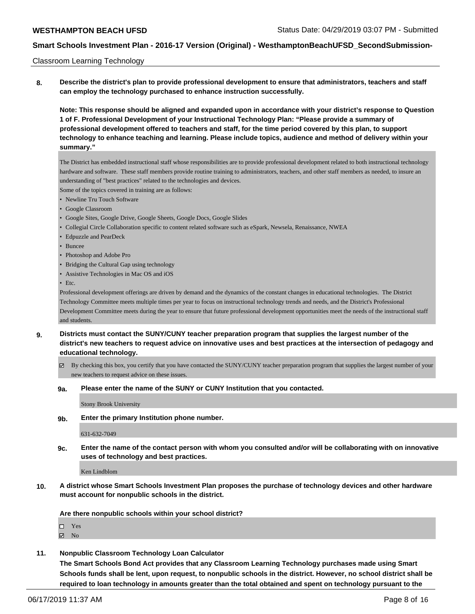#### Classroom Learning Technology

**8. Describe the district's plan to provide professional development to ensure that administrators, teachers and staff can employ the technology purchased to enhance instruction successfully.**

**Note: This response should be aligned and expanded upon in accordance with your district's response to Question 1 of F. Professional Development of your Instructional Technology Plan: "Please provide a summary of professional development offered to teachers and staff, for the time period covered by this plan, to support technology to enhance teaching and learning. Please include topics, audience and method of delivery within your summary."**

The District has embedded instructional staff whose responsibilities are to provide professional development related to both instructional technology hardware and software. These staff members provide routine training to administrators, teachers, and other staff members as needed, to insure an understanding of "best practices" related to the technologies and devices.

Some of the topics covered in training are as follows:

- Newline Tru Touch Software
- Google Classroom
- Google Sites, Google Drive, Google Sheets, Google Docs, Google Slides
- Collegial Circle Collaboration specific to content related software such as eSpark, Newsela, Renaissance, NWEA
- Edpuzzle and PearDeck
- Buncee
- Photoshop and Adobe Pro
- Bridging the Cultural Gap using technology
- Assistive Technologies in Mac OS and iOS
- Etc.

Professional development offerings are driven by demand and the dynamics of the constant changes in educational technologies. The District Technology Committee meets multiple times per year to focus on instructional technology trends and needs, and the District's Professional Development Committee meets during the year to ensure that future professional development opportunities meet the needs of the instructional staff and students.

- **9. Districts must contact the SUNY/CUNY teacher preparation program that supplies the largest number of the district's new teachers to request advice on innovative uses and best practices at the intersection of pedagogy and educational technology.**
	- By checking this box, you certify that you have contacted the SUNY/CUNY teacher preparation program that supplies the largest number of your new teachers to request advice on these issues.

#### **9a. Please enter the name of the SUNY or CUNY Institution that you contacted.**

Stony Brook University

**9b. Enter the primary Institution phone number.**

631-632-7049

**9c. Enter the name of the contact person with whom you consulted and/or will be collaborating with on innovative uses of technology and best practices.**

Ken Lindblom

**10. A district whose Smart Schools Investment Plan proposes the purchase of technology devices and other hardware must account for nonpublic schools in the district.**

**Are there nonpublic schools within your school district?**

- □ Yes
- $\boxtimes$  No
- **11. Nonpublic Classroom Technology Loan Calculator**

**The Smart Schools Bond Act provides that any Classroom Learning Technology purchases made using Smart Schools funds shall be lent, upon request, to nonpublic schools in the district. However, no school district shall be required to loan technology in amounts greater than the total obtained and spent on technology pursuant to the**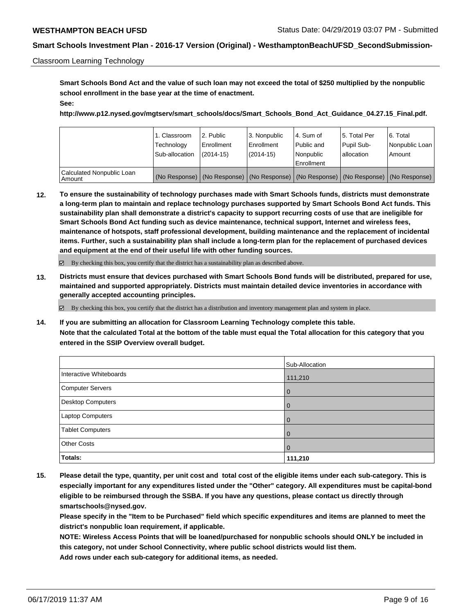#### Classroom Learning Technology

**Smart Schools Bond Act and the value of such loan may not exceed the total of \$250 multiplied by the nonpublic school enrollment in the base year at the time of enactment. See:**

**http://www.p12.nysed.gov/mgtserv/smart\_schools/docs/Smart\_Schools\_Bond\_Act\_Guidance\_04.27.15\_Final.pdf.**

|                                       | 1. Classroom<br>Technology<br>Sub-allocation | 2. Public<br>Enrollment<br>(2014-15) | 3. Nonpublic<br>l Enrollment<br>$(2014-15)$                                                   | l 4. Sum of<br>Public and<br><b>Nonpublic</b><br>Enrollment | 15. Total Per<br>Pupil Sub-<br>lallocation | l 6. Total<br>Nonpublic Loan<br>Amount |
|---------------------------------------|----------------------------------------------|--------------------------------------|-----------------------------------------------------------------------------------------------|-------------------------------------------------------------|--------------------------------------------|----------------------------------------|
| Calculated Nonpublic Loan<br>  Amount |                                              |                                      | (No Response)   (No Response)   (No Response)   (No Response)   (No Response)   (No Response) |                                                             |                                            |                                        |

**12. To ensure the sustainability of technology purchases made with Smart Schools funds, districts must demonstrate a long-term plan to maintain and replace technology purchases supported by Smart Schools Bond Act funds. This sustainability plan shall demonstrate a district's capacity to support recurring costs of use that are ineligible for Smart Schools Bond Act funding such as device maintenance, technical support, Internet and wireless fees, maintenance of hotspots, staff professional development, building maintenance and the replacement of incidental items. Further, such a sustainability plan shall include a long-term plan for the replacement of purchased devices and equipment at the end of their useful life with other funding sources.**

By checking this box, you certify that the district has a sustainability plan as described above.

**13. Districts must ensure that devices purchased with Smart Schools Bond funds will be distributed, prepared for use, maintained and supported appropriately. Districts must maintain detailed device inventories in accordance with generally accepted accounting principles.**

By checking this box, you certify that the district has a distribution and inventory management plan and system in place.

**14. If you are submitting an allocation for Classroom Learning Technology complete this table. Note that the calculated Total at the bottom of the table must equal the Total allocation for this category that you entered in the SSIP Overview overall budget.**

|                         | Sub-Allocation |
|-------------------------|----------------|
| Interactive Whiteboards | 111,210        |
| Computer Servers        | l 0            |
| Desktop Computers       | $\overline{0}$ |
| Laptop Computers        | $\overline{0}$ |
| <b>Tablet Computers</b> | $\mathbf 0$    |
| <b>Other Costs</b>      | $\mathbf 0$    |
| Totals:                 | 111,210        |

**15. Please detail the type, quantity, per unit cost and total cost of the eligible items under each sub-category. This is especially important for any expenditures listed under the "Other" category. All expenditures must be capital-bond eligible to be reimbursed through the SSBA. If you have any questions, please contact us directly through smartschools@nysed.gov.**

**Please specify in the "Item to be Purchased" field which specific expenditures and items are planned to meet the district's nonpublic loan requirement, if applicable.**

**NOTE: Wireless Access Points that will be loaned/purchased for nonpublic schools should ONLY be included in this category, not under School Connectivity, where public school districts would list them. Add rows under each sub-category for additional items, as needed.**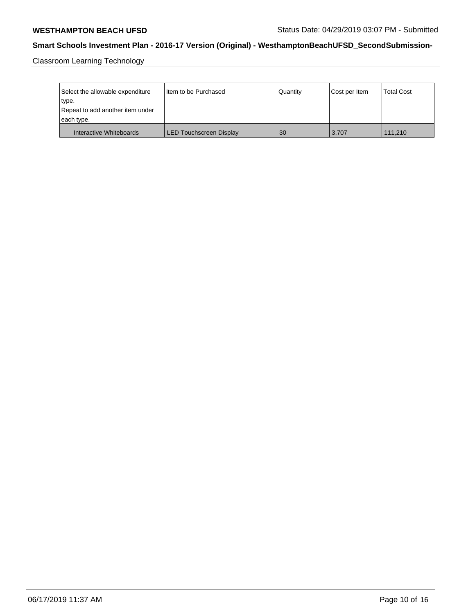Classroom Learning Technology

| Select the allowable expenditure<br>type.<br>Repeat to add another item under | I Item to be Purchased         | Quantity | Cost per Item | <b>Total Cost</b> |
|-------------------------------------------------------------------------------|--------------------------------|----------|---------------|-------------------|
| each type.                                                                    |                                |          |               |                   |
| Interactive Whiteboards                                                       | <b>LED Touchscreen Display</b> | 30       | 3.707         | 111.210           |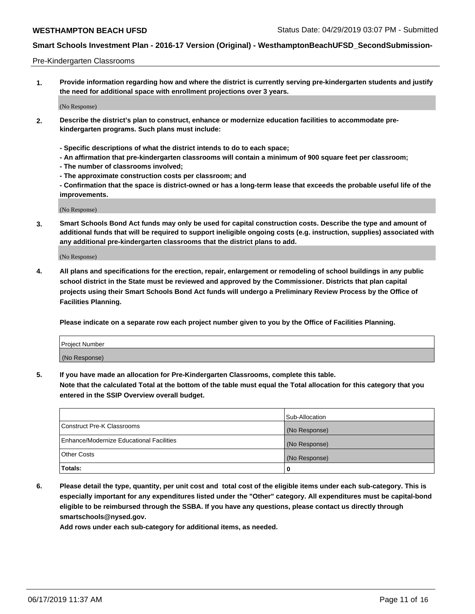#### Pre-Kindergarten Classrooms

**1. Provide information regarding how and where the district is currently serving pre-kindergarten students and justify the need for additional space with enrollment projections over 3 years.**

(No Response)

- **2. Describe the district's plan to construct, enhance or modernize education facilities to accommodate prekindergarten programs. Such plans must include:**
	- **Specific descriptions of what the district intends to do to each space;**
	- **An affirmation that pre-kindergarten classrooms will contain a minimum of 900 square feet per classroom;**
	- **The number of classrooms involved;**
	- **The approximate construction costs per classroom; and**
	- **Confirmation that the space is district-owned or has a long-term lease that exceeds the probable useful life of the improvements.**

(No Response)

**3. Smart Schools Bond Act funds may only be used for capital construction costs. Describe the type and amount of additional funds that will be required to support ineligible ongoing costs (e.g. instruction, supplies) associated with any additional pre-kindergarten classrooms that the district plans to add.**

(No Response)

**4. All plans and specifications for the erection, repair, enlargement or remodeling of school buildings in any public school district in the State must be reviewed and approved by the Commissioner. Districts that plan capital projects using their Smart Schools Bond Act funds will undergo a Preliminary Review Process by the Office of Facilities Planning.**

**Please indicate on a separate row each project number given to you by the Office of Facilities Planning.**

| Project Number |  |
|----------------|--|
| (No Response)  |  |
|                |  |

**5. If you have made an allocation for Pre-Kindergarten Classrooms, complete this table.**

**Note that the calculated Total at the bottom of the table must equal the Total allocation for this category that you entered in the SSIP Overview overall budget.**

|                                          | Sub-Allocation |
|------------------------------------------|----------------|
| Construct Pre-K Classrooms               | (No Response)  |
| Enhance/Modernize Educational Facilities | (No Response)  |
| <b>Other Costs</b>                       | (No Response)  |
| Totals:                                  | 0              |

**6. Please detail the type, quantity, per unit cost and total cost of the eligible items under each sub-category. This is especially important for any expenditures listed under the "Other" category. All expenditures must be capital-bond eligible to be reimbursed through the SSBA. If you have any questions, please contact us directly through smartschools@nysed.gov.**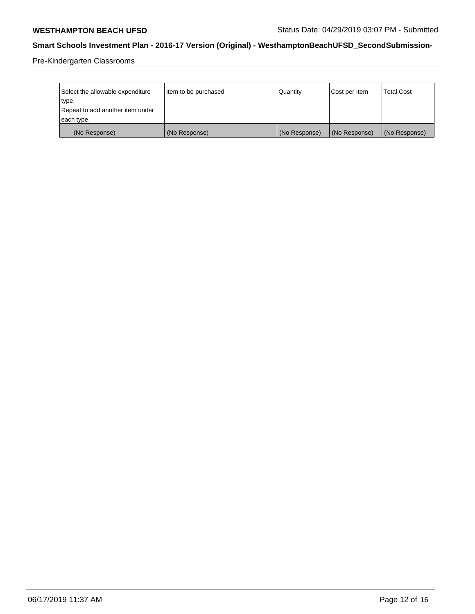Pre-Kindergarten Classrooms

| Select the allowable expenditure<br>type.      | Item to be purchased | Quantity      | Cost per Item | <b>Total Cost</b> |
|------------------------------------------------|----------------------|---------------|---------------|-------------------|
| Repeat to add another item under<br>each type. |                      |               |               |                   |
| (No Response)                                  | (No Response)        | (No Response) | (No Response) | (No Response)     |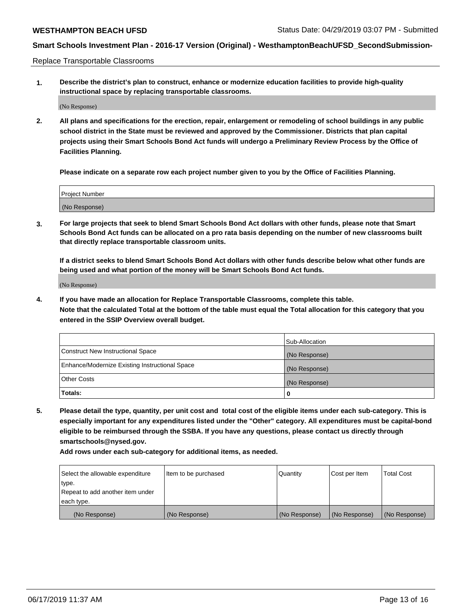Replace Transportable Classrooms

**1. Describe the district's plan to construct, enhance or modernize education facilities to provide high-quality instructional space by replacing transportable classrooms.**

(No Response)

**2. All plans and specifications for the erection, repair, enlargement or remodeling of school buildings in any public school district in the State must be reviewed and approved by the Commissioner. Districts that plan capital projects using their Smart Schools Bond Act funds will undergo a Preliminary Review Process by the Office of Facilities Planning.**

**Please indicate on a separate row each project number given to you by the Office of Facilities Planning.**

| Project Number |  |
|----------------|--|
|                |  |
|                |  |
|                |  |
|                |  |
| (No Response)  |  |
|                |  |
|                |  |
|                |  |

**3. For large projects that seek to blend Smart Schools Bond Act dollars with other funds, please note that Smart Schools Bond Act funds can be allocated on a pro rata basis depending on the number of new classrooms built that directly replace transportable classroom units.**

**If a district seeks to blend Smart Schools Bond Act dollars with other funds describe below what other funds are being used and what portion of the money will be Smart Schools Bond Act funds.**

(No Response)

**4. If you have made an allocation for Replace Transportable Classrooms, complete this table. Note that the calculated Total at the bottom of the table must equal the Total allocation for this category that you entered in the SSIP Overview overall budget.**

|                                                | Sub-Allocation |
|------------------------------------------------|----------------|
| Construct New Instructional Space              | (No Response)  |
| Enhance/Modernize Existing Instructional Space | (No Response)  |
| <b>Other Costs</b>                             | (No Response)  |
| Totals:                                        | 0              |

**5. Please detail the type, quantity, per unit cost and total cost of the eligible items under each sub-category. This is especially important for any expenditures listed under the "Other" category. All expenditures must be capital-bond eligible to be reimbursed through the SSBA. If you have any questions, please contact us directly through smartschools@nysed.gov.**

| Select the allowable expenditure | Item to be purchased | Quantity      | Cost per Item | Total Cost    |
|----------------------------------|----------------------|---------------|---------------|---------------|
| type.                            |                      |               |               |               |
| Repeat to add another item under |                      |               |               |               |
| each type.                       |                      |               |               |               |
| (No Response)                    | (No Response)        | (No Response) | (No Response) | (No Response) |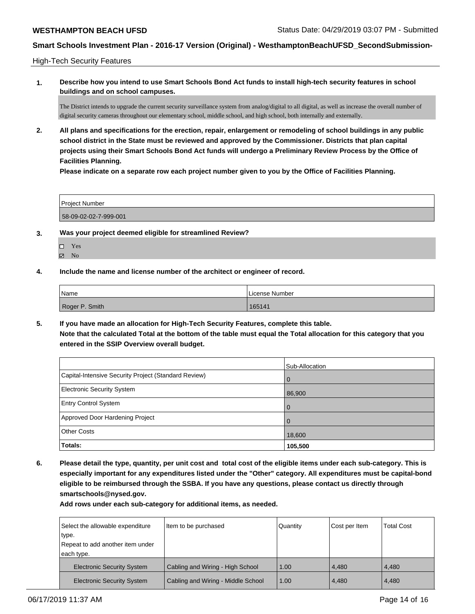High-Tech Security Features

**1. Describe how you intend to use Smart Schools Bond Act funds to install high-tech security features in school buildings and on school campuses.**

The District intends to upgrade the current security surveillance system from analog/digital to all digital, as well as increase the overall number of digital security cameras throughout our elementary school, middle school, and high school, both internally and externally.

**2. All plans and specifications for the erection, repair, enlargement or remodeling of school buildings in any public school district in the State must be reviewed and approved by the Commissioner. Districts that plan capital projects using their Smart Schools Bond Act funds will undergo a Preliminary Review Process by the Office of Facilities Planning.** 

**Please indicate on a separate row each project number given to you by the Office of Facilities Planning.**

| <b>Project Number</b> |  |  |
|-----------------------|--|--|
|                       |  |  |
| 58-09-02-02-7-999-001 |  |  |

- **3. Was your project deemed eligible for streamlined Review?**
	- Yes
	- $\boxtimes$  No
- **4. Include the name and license number of the architect or engineer of record.**

| Name           | License Number |
|----------------|----------------|
| Roger P. Smith | 165141         |

**5. If you have made an allocation for High-Tech Security Features, complete this table. Note that the calculated Total at the bottom of the table must equal the Total allocation for this category that you entered in the SSIP Overview overall budget.**

|                                                      | Sub-Allocation |
|------------------------------------------------------|----------------|
| Capital-Intensive Security Project (Standard Review) | l O            |
| <b>Electronic Security System</b>                    | 86,900         |
| <b>Entry Control System</b>                          | l O            |
| Approved Door Hardening Project                      |                |
| <b>Other Costs</b>                                   | 18,600         |
| <b>Totals:</b>                                       | 105,500        |

**6. Please detail the type, quantity, per unit cost and total cost of the eligible items under each sub-category. This is especially important for any expenditures listed under the "Other" category. All expenditures must be capital-bond eligible to be reimbursed through the SSBA. If you have any questions, please contact us directly through smartschools@nysed.gov.**

| Select the allowable expenditure<br>type. | Item to be purchased               | Quantity | Cost per Item | <b>Total Cost</b> |
|-------------------------------------------|------------------------------------|----------|---------------|-------------------|
| Repeat to add another item under          |                                    |          |               |                   |
| each type.                                |                                    |          |               |                   |
| <b>Electronic Security System</b>         | Cabling and Wiring - High School   | 1.00     | 4.480         | 4.480             |
| <b>Electronic Security System</b>         | Cabling and Wiring - Middle School | 1.00     | 4,480         | 4,480             |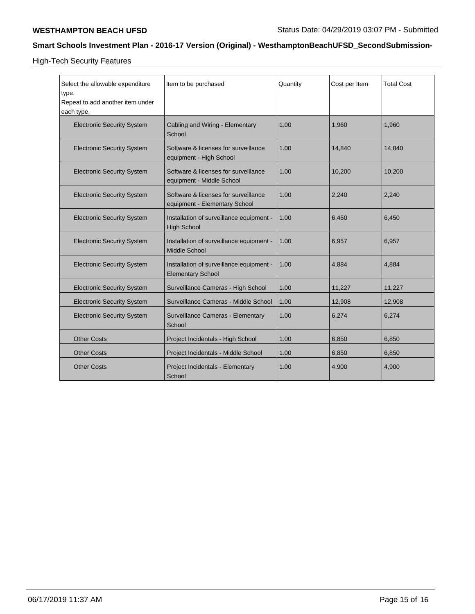High-Tech Security Features

| Select the allowable expenditure  | Item to be purchased                                                  | Quantity | Cost per Item | <b>Total Cost</b> |
|-----------------------------------|-----------------------------------------------------------------------|----------|---------------|-------------------|
| type.                             |                                                                       |          |               |                   |
| Repeat to add another item under  |                                                                       |          |               |                   |
| each type.                        |                                                                       |          |               |                   |
| <b>Electronic Security System</b> | Cabling and Wiring - Elementary<br>School                             | 1.00     | 1.960         | 1,960             |
| <b>Electronic Security System</b> | Software & licenses for surveillance<br>equipment - High School       | 1.00     | 14,840        | 14,840            |
| <b>Electronic Security System</b> | Software & licenses for surveillance<br>equipment - Middle School     | 1.00     | 10,200        | 10,200            |
| <b>Electronic Security System</b> | Software & licenses for surveillance<br>equipment - Elementary School | 1.00     | 2,240         | 2,240             |
| <b>Electronic Security System</b> | Installation of surveillance equipment -<br><b>High School</b>        | 1.00     | 6,450         | 6,450             |
| <b>Electronic Security System</b> | Installation of surveillance equipment -<br><b>Middle School</b>      | 1.00     | 6,957         | 6,957             |
| <b>Electronic Security System</b> | Installation of surveillance equipment -<br><b>Elementary School</b>  | 1.00     | 4,884         | 4,884             |
| <b>Electronic Security System</b> | Surveillance Cameras - High School                                    | 1.00     | 11,227        | 11,227            |
| <b>Electronic Security System</b> | Surveillance Cameras - Middle School                                  | 1.00     | 12,908        | 12,908            |
| <b>Electronic Security System</b> | Surveillance Cameras - Elementary<br>School                           | 1.00     | 6,274         | 6,274             |
| <b>Other Costs</b>                | Project Incidentals - High School                                     | 1.00     | 6,850         | 6,850             |
| <b>Other Costs</b>                | Project Incidentals - Middle School                                   | 1.00     | 6,850         | 6,850             |
| <b>Other Costs</b>                | Project Incidentals - Elementary<br>School                            | 1.00     | 4,900         | 4,900             |